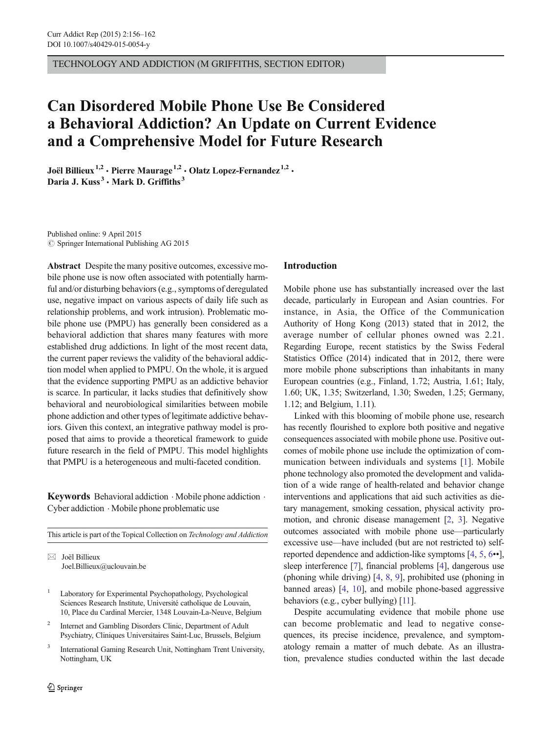TECHNOLOGY AND ADDICTION (M GRIFFITHS, SECTION EDITOR)

# Can Disordered Mobile Phone Use Be Considered a Behavioral Addiction? An Update on Current Evidence and a Comprehensive Model for Future Research

Joël Billieux<sup>1,2</sup> · Pierre Maurage<sup>1,2</sup> · Olatz Lopez-Fernandez<sup>1,2</sup> · Daria J. Kuss<sup>3</sup> . Mark D. Griffiths<sup>3</sup>

Published online: 9 April 2015  $\oslash$  Springer International Publishing AG 2015

Abstract Despite the many positive outcomes, excessive mobile phone use is now often associated with potentially harmful and/or disturbing behaviors (e.g., symptoms of deregulated use, negative impact on various aspects of daily life such as relationship problems, and work intrusion). Problematic mobile phone use (PMPU) has generally been considered as a behavioral addiction that shares many features with more established drug addictions. In light of the most recent data, the current paper reviews the validity of the behavioral addiction model when applied to PMPU. On the whole, it is argued that the evidence supporting PMPU as an addictive behavior is scarce. In particular, it lacks studies that definitively show behavioral and neurobiological similarities between mobile phone addiction and other types of legitimate addictive behaviors. Given this context, an integrative pathway model is proposed that aims to provide a theoretical framework to guide future research in the field of PMPU. This model highlights that PMPU is a heterogeneous and multi-faceted condition.

Keywords Behavioral addiction  $\cdot$  Mobile phone addiction  $\cdot$ Cyber addiction . Mobile phone problematic use

This article is part of the Topical Collection on Technology and Addiction

 $\boxtimes$  Joël Billieux Joel.Billieux@uclouvain.be

- <sup>1</sup> Laboratory for Experimental Psychopathology, Psychological Sciences Research Institute, Université catholique de Louvain, 10, Place du Cardinal Mercier, 1348 Louvain-La-Neuve, Belgium
- <sup>2</sup> Internet and Gambling Disorders Clinic, Department of Adult Psychiatry, Cliniques Universitaires Saint-Luc, Brussels, Belgium
- <sup>3</sup> International Gaming Research Unit, Nottingham Trent University, Nottingham, UK

#### Introduction

Mobile phone use has substantially increased over the last decade, particularly in European and Asian countries. For instance, in Asia, the Office of the Communication Authority of Hong Kong (2013) stated that in 2012, the average number of cellular phones owned was 2.21. Regarding Europe, recent statistics by the Swiss Federal Statistics Office (2014) indicated that in 2012, there were more mobile phone subscriptions than inhabitants in many European countries (e.g., Finland, 1.72; Austria, 1.61; Italy, 1.60; UK, 1.35; Switzerland, 1.30; Sweden, 1.25; Germany, 1.12; and Belgium, 1.11).

Linked with this blooming of mobile phone use, research has recently flourished to explore both positive and negative consequences associated with mobile phone use. Positive outcomes of mobile phone use include the optimization of communication between individuals and systems [\[1](#page-5-0)]. Mobile phone technology also promoted the development and validation of a wide range of health-related and behavior change interventions and applications that aid such activities as dietary management, smoking cessation, physical activity promotion, and chronic disease management [\[2](#page-5-0), [3](#page-5-0)]. Negative outcomes associated with mobile phone use—particularly excessive use—have included (but are not restricted to) selfreported dependence and addiction-like symptoms [\[4](#page-5-0), [5](#page-5-0), [6](#page-5-0)••], sleep interference [\[7](#page-5-0)], financial problems [\[4](#page-5-0)], dangerous use (phoning while driving) [[4,](#page-5-0) [8](#page-5-0), [9](#page-5-0)], prohibited use (phoning in banned areas) [[4,](#page-5-0) [10](#page-5-0)], and mobile phone-based aggressive behaviors (e.g., cyber bullying) [\[11](#page-5-0)].

Despite accumulating evidence that mobile phone use can become problematic and lead to negative consequences, its precise incidence, prevalence, and symptomatology remain a matter of much debate. As an illustration, prevalence studies conducted within the last decade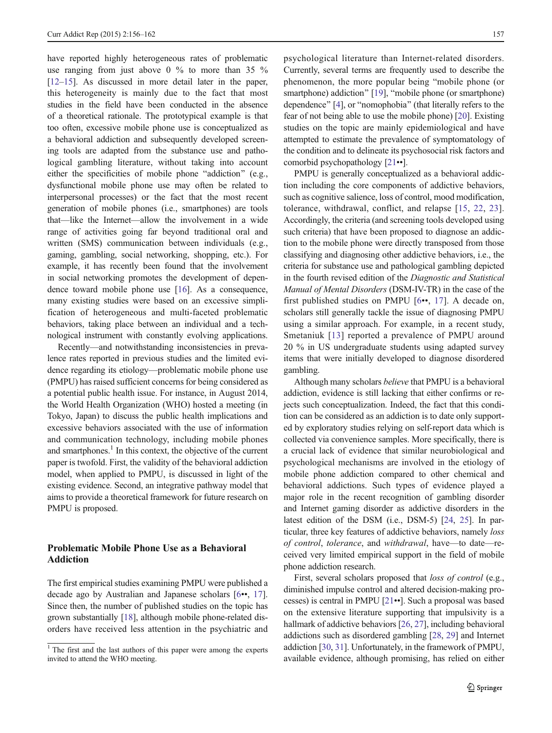have reported highly heterogeneous rates of problematic use ranging from just above 0 % to more than 35 % [\[12](#page-5-0)–[15\]](#page-5-0). As discussed in more detail later in the paper, this heterogeneity is mainly due to the fact that most studies in the field have been conducted in the absence of a theoretical rationale. The prototypical example is that too often, excessive mobile phone use is conceptualized as a behavioral addiction and subsequently developed screening tools are adapted from the substance use and pathological gambling literature, without taking into account either the specificities of mobile phone "addiction" (e.g., dysfunctional mobile phone use may often be related to interpersonal processes) or the fact that the most recent generation of mobile phones (i.e., smartphones) are tools that—like the Internet—allow the involvement in a wide range of activities going far beyond traditional oral and written (SMS) communication between individuals (e.g., gaming, gambling, social networking, shopping, etc.). For example, it has recently been found that the involvement in social networking promotes the development of dependence toward mobile phone use [[16\]](#page-5-0). As a consequence, many existing studies were based on an excessive simplification of heterogeneous and multi-faceted problematic behaviors, taking place between an individual and a technological instrument with constantly evolving applications.

Recently—and notwithstanding inconsistencies in prevalence rates reported in previous studies and the limited evidence regarding its etiology—problematic mobile phone use (PMPU) has raised sufficient concerns for being considered as a potential public health issue. For instance, in August 2014, the World Health Organization (WHO) hosted a meeting (in Tokyo, Japan) to discuss the public health implications and excessive behaviors associated with the use of information and communication technology, including mobile phones and smartphones.<sup>1</sup> In this context, the objective of the current paper is twofold. First, the validity of the behavioral addiction model, when applied to PMPU, is discussed in light of the existing evidence. Second, an integrative pathway model that aims to provide a theoretical framework for future research on PMPU is proposed.

# Problematic Mobile Phone Use as a Behavioral Addiction

The first empirical studies examining PMPU were published a decade ago by Australian and Japanese scholars [\[6](#page-5-0)••, [17](#page-5-0)]. Since then, the number of published studies on the topic has grown substantially [[18](#page-5-0)], although mobile phone-related disorders have received less attention in the psychiatric and psychological literature than Internet-related disorders. Currently, several terms are frequently used to describe the phenomenon, the more popular being "mobile phone (or smartphone) addiction" [[19\]](#page-5-0), "mobile phone (or smartphone) dependence" [\[4](#page-5-0)], or "nomophobia" (that literally refers to the fear of not being able to use the mobile phone) [\[20\]](#page-5-0). Existing studies on the topic are mainly epidemiological and have attempted to estimate the prevalence of symptomatology of the condition and to delineate its psychosocial risk factors and comorbid psychopathology [\[21](#page-5-0)••].

PMPU is generally conceptualized as a behavioral addiction including the core components of addictive behaviors, such as cognitive salience, loss of control, mood modification, tolerance, withdrawal, conflict, and relapse [[15,](#page-5-0) [22,](#page-5-0) [23](#page-5-0)]. Accordingly, the criteria (and screening tools developed using such criteria) that have been proposed to diagnose an addiction to the mobile phone were directly transposed from those classifying and diagnosing other addictive behaviors, i.e., the criteria for substance use and pathological gambling depicted in the fourth revised edition of the Diagnostic and Statistical Manual of Mental Disorders (DSM-IV-TR) in the case of the first published studies on PMPU [[6](#page-5-0)••, [17\]](#page-5-0). A decade on, scholars still generally tackle the issue of diagnosing PMPU using a similar approach. For example, in a recent study, Smetaniuk [[13](#page-5-0)] reported a prevalence of PMPU around 20 % in US undergraduate students using adapted survey items that were initially developed to diagnose disordered gambling.

Although many scholars believe that PMPU is a behavioral addiction, evidence is still lacking that either confirms or rejects such conceptualization. Indeed, the fact that this condition can be considered as an addiction is to date only supported by exploratory studies relying on self-report data which is collected via convenience samples. More specifically, there is a crucial lack of evidence that similar neurobiological and psychological mechanisms are involved in the etiology of mobile phone addiction compared to other chemical and behavioral addictions. Such types of evidence played a major role in the recent recognition of gambling disorder and Internet gaming disorder as addictive disorders in the latest edition of the DSM (i.e., DSM-5) [\[24](#page-6-0), [25\]](#page-6-0). In particular, three key features of addictive behaviors, namely loss of control, tolerance, and withdrawal, have—to date—received very limited empirical support in the field of mobile phone addiction research.

First, several scholars proposed that *loss of control* (e.g., diminished impulse control and altered decision-making processes) is central in PMPU [\[21](#page-5-0)••]. Such a proposal was based on the extensive literature supporting that impulsivity is a hallmark of addictive behaviors [\[26,](#page-6-0) [27](#page-6-0)], including behavioral addictions such as disordered gambling [[28](#page-6-0), [29](#page-6-0)] and Internet addiction [\[30](#page-6-0), [31](#page-6-0)]. Unfortunately, in the framework of PMPU, available evidence, although promising, has relied on either

 $\overline{1}$  The first and the last authors of this paper were among the experts invited to attend the WHO meeting.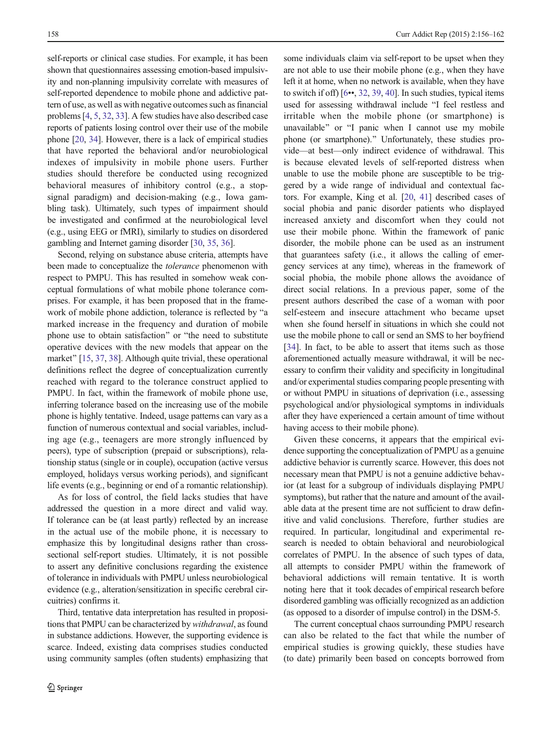self-reports or clinical case studies. For example, it has been shown that questionnaires assessing emotion-based impulsivity and non-planning impulsivity correlate with measures of self-reported dependence to mobile phone and addictive pattern of use, as well as with negative outcomes such as financial problems [\[4](#page-5-0), [5](#page-5-0), [32](#page-6-0), [33](#page-6-0)]. A few studies have also described case reports of patients losing control over their use of the mobile phone [[20,](#page-5-0) [34\]](#page-6-0). However, there is a lack of empirical studies that have reported the behavioral and/or neurobiological indexes of impulsivity in mobile phone users. Further studies should therefore be conducted using recognized behavioral measures of inhibitory control (e.g., a stopsignal paradigm) and decision-making (e.g., Iowa gambling task). Ultimately, such types of impairment should be investigated and confirmed at the neurobiological level (e.g., using EEG or fMRI), similarly to studies on disordered gambling and Internet gaming disorder [[30](#page-6-0), [35](#page-6-0), [36](#page-6-0)].

Second, relying on substance abuse criteria, attempts have been made to conceptualize the *tolerance* phenomenon with respect to PMPU. This has resulted in somehow weak conceptual formulations of what mobile phone tolerance comprises. For example, it has been proposed that in the framework of mobile phone addiction, tolerance is reflected by "a marked increase in the frequency and duration of mobile phone use to obtain satisfaction" or "the need to substitute operative devices with the new models that appear on the market" [\[15](#page-5-0), [37,](#page-6-0) [38](#page-6-0)]. Although quite trivial, these operational definitions reflect the degree of conceptualization currently reached with regard to the tolerance construct applied to PMPU. In fact, within the framework of mobile phone use, inferring tolerance based on the increasing use of the mobile phone is highly tentative. Indeed, usage patterns can vary as a function of numerous contextual and social variables, including age (e.g., teenagers are more strongly influenced by peers), type of subscription (prepaid or subscriptions), relationship status (single or in couple), occupation (active versus employed, holidays versus working periods), and significant life events (e.g., beginning or end of a romantic relationship).

As for loss of control, the field lacks studies that have addressed the question in a more direct and valid way. If tolerance can be (at least partly) reflected by an increase in the actual use of the mobile phone, it is necessary to emphasize this by longitudinal designs rather than crosssectional self-report studies. Ultimately, it is not possible to assert any definitive conclusions regarding the existence of tolerance in individuals with PMPU unless neurobiological evidence (e.g., alteration/sensitization in specific cerebral circuitries) confirms it.

Third, tentative data interpretation has resulted in propositions that PMPU can be characterized by withdrawal, as found in substance addictions. However, the supporting evidence is scarce. Indeed, existing data comprises studies conducted using community samples (often students) emphasizing that some individuals claim via self-report to be upset when they are not able to use their mobile phone (e.g., when they have left it at home, when no network is available, when they have to switch if off) [[6](#page-5-0)••, [32,](#page-6-0) [39](#page-6-0), [40\]](#page-6-0). In such studies, typical items used for assessing withdrawal include "I feel restless and irritable when the mobile phone (or smartphone) is unavailable" or "I panic when I cannot use my mobile phone (or smartphone)." Unfortunately, these studies provide—at best—only indirect evidence of withdrawal. This is because elevated levels of self-reported distress when unable to use the mobile phone are susceptible to be triggered by a wide range of individual and contextual factors. For example, King et al. [\[20](#page-5-0), [41\]](#page-6-0) described cases of social phobia and panic disorder patients who displayed increased anxiety and discomfort when they could not use their mobile phone. Within the framework of panic disorder, the mobile phone can be used as an instrument that guarantees safety (i.e., it allows the calling of emergency services at any time), whereas in the framework of social phobia, the mobile phone allows the avoidance of direct social relations. In a previous paper, some of the present authors described the case of a woman with poor self-esteem and insecure attachment who became upset when she found herself in situations in which she could not use the mobile phone to call or send an SMS to her boyfriend [\[34](#page-6-0)]. In fact, to be able to assert that items such as those aforementioned actually measure withdrawal, it will be necessary to confirm their validity and specificity in longitudinal and/or experimental studies comparing people presenting with or without PMPU in situations of deprivation (i.e., assessing psychological and/or physiological symptoms in individuals after they have experienced a certain amount of time without having access to their mobile phone).

Given these concerns, it appears that the empirical evidence supporting the conceptualization of PMPU as a genuine addictive behavior is currently scarce. However, this does not necessary mean that PMPU is not a genuine addictive behavior (at least for a subgroup of individuals displaying PMPU symptoms), but rather that the nature and amount of the available data at the present time are not sufficient to draw definitive and valid conclusions. Therefore, further studies are required. In particular, longitudinal and experimental research is needed to obtain behavioral and neurobiological correlates of PMPU. In the absence of such types of data, all attempts to consider PMPU within the framework of behavioral addictions will remain tentative. It is worth noting here that it took decades of empirical research before disordered gambling was officially recognized as an addiction (as opposed to a disorder of impulse control) in the DSM-5.

The current conceptual chaos surrounding PMPU research can also be related to the fact that while the number of empirical studies is growing quickly, these studies have (to date) primarily been based on concepts borrowed from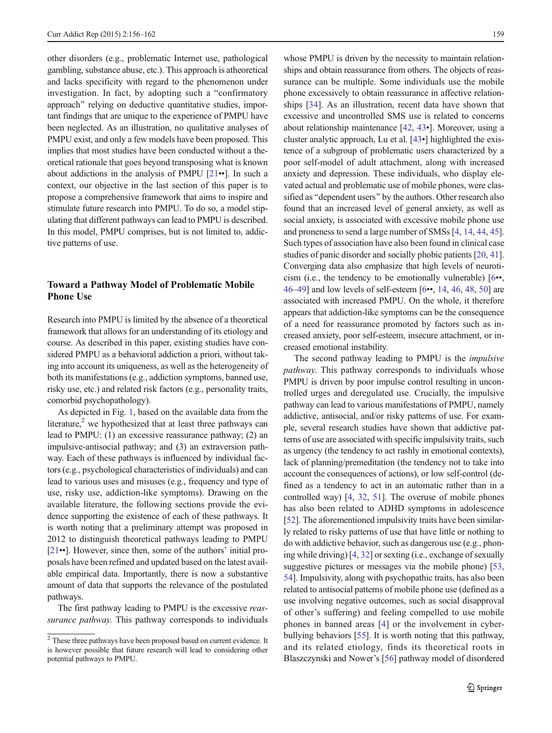other disorders (e.g., problematic Internet use, pathological gambling, substance abuse, etc.). This approach is atheoretical and lacks specificity with regard to the phenomenon under investigation. In fact, by adopting such a "confirmatory" approach" relying on deductive quantitative studies, important findings that are unique to the experience of PMPU have been neglected. As an illustration, no qualitative analyses of PMPU exist, and only a few models have been proposed. This implies that most studies have been conducted without a theoretical rationale that goes beyond transposing what is known about addictions in the analysis of PMPU [\[21](#page-5-0)••]. In such a context, our objective in the last section of this paper is to propose a comprehensive framework that aims to inspire and stimulate future research into PMPU. To do so, a model stipulating that different pathways can lead to PMPU is described. In this model, PMPU comprises, but is not limited to, addictive patterns of use.

## Toward a Pathway Model of Problematic Mobile Phone Use

Research into PMPU is limited by the absence of a theoretical framework that allows for an understanding of its etiology and course. As described in this paper, existing studies have considered PMPU as a behavioral addiction a priori, without taking into account its uniqueness, as well as the heterogeneity of both its manifestations (e.g., addiction symptoms, banned use, risky use, etc.) and related risk factors (e.g., personality traits, comorbid psychopathology).

As depicted in Fig. [1,](#page-4-0) based on the available data from the literature, $<sup>2</sup>$  we hypothesized that at least three pathways can</sup> lead to PMPU: (1) an excessive reassurance pathway; (2) an impulsive-antisocial pathway; and (3) an extraversion pathway. Each of these pathways is influenced by individual factors (e.g., psychological characteristics of individuals) and can lead to various uses and misuses (e.g., frequency and type of use, risky use, addiction-like symptoms). Drawing on the available literature, the following sections provide the evidence supporting the existence of each of these pathways. It is worth noting that a preliminary attempt was proposed in 2012 to distinguish theoretical pathways leading to PMPU [\[21](#page-5-0)••]. However, since then, some of the authors' initial proposals have been refined and updated based on the latest available empirical data. Importantly, there is now a substantive amount of data that supports the relevance of the postulated pathways.

The first pathway leading to PMPU is the excessive reassurance pathway. This pathway corresponds to individuals whose PMPU is driven by the necessity to maintain relationships and obtain reassurance from others. The objects of reassurance can be multiple. Some individuals use the mobile phone excessively to obtain reassurance in affective relationships [\[34](#page-6-0)]. As an illustration, recent data have shown that excessive and uncontrolled SMS use is related to concerns about relationship maintenance [[42,](#page-6-0) [43](#page-6-0)•]. Moreover, using a cluster analytic approach, Lu et al. [[43](#page-6-0)•] highlighted the existence of a subgroup of problematic users characterized by a poor self-model of adult attachment, along with increased anxiety and depression. These individuals, who display elevated actual and problematic use of mobile phones, were classified as "dependent users" by the authors. Other research also found that an increased level of general anxiety, as well as social anxiety, is associated with excessive mobile phone use and proneness to send a large number of SMSs [[4,](#page-5-0) [14](#page-5-0), [44](#page-6-0), [45\]](#page-6-0). Such types of association have also been found in clinical case studies of panic disorder and socially phobic patients [\[20](#page-5-0), [41\]](#page-6-0). Converging data also emphasize that high levels of neuroticism (i.e., the tendency to be emotionally vulnerable) [\[6](#page-5-0)••, [46](#page-6-0)–[49\]](#page-6-0) and low levels of self-esteem [[6](#page-5-0)••, [14](#page-5-0), [46,](#page-6-0) [48,](#page-6-0) [50\]](#page-6-0) are associated with increased PMPU. On the whole, it therefore appears that addiction-like symptoms can be the consequence of a need for reassurance promoted by factors such as increased anxiety, poor self-esteem, insecure attachment, or increased emotional instability.

The second pathway leading to PMPU is the impulsive pathway. This pathway corresponds to individuals whose PMPU is driven by poor impulse control resulting in uncontrolled urges and deregulated use. Crucially, the impulsive pathway can lead to various manifestations of PMPU, namely addictive, antisocial, and/or risky patterns of use. For example, several research studies have shown that addictive patterns of use are associated with specific impulsivity traits, such as urgency (the tendency to act rashly in emotional contexts), lack of planning/premeditation (the tendency not to take into account the consequences of actions), or low self-control (defined as a tendency to act in an automatic rather than in a controlled way) [\[4](#page-5-0), [32](#page-6-0), [51](#page-6-0)]. The overuse of mobile phones has also been related to ADHD symptoms in adolescence [\[52](#page-6-0)]. The aforementioned impulsivity traits have been similarly related to risky patterns of use that have little or nothing to do with addictive behavior, such as dangerous use (e.g., phoning while driving) [\[4](#page-5-0), [32](#page-6-0)] or sexting (i.e., exchange of sexually suggestive pictures or messages via the mobile phone) [\[53,](#page-6-0) [54\]](#page-6-0). Impulsivity, along with psychopathic traits, has also been related to antisocial patterns of mobile phone use (defined as a use involving negative outcomes, such as social disapproval of other's suffering) and feeling compelled to use mobile phones in banned areas [[4\]](#page-5-0) or the involvement in cyberbullying behaviors [\[55\]](#page-6-0). It is worth noting that this pathway, and its related etiology, finds its theoretical roots in Blaszczynski and Nower's [\[56\]](#page-6-0) pathway model of disordered

<sup>&</sup>lt;sup>2</sup> These three pathways have been proposed based on current evidence. It is however possible that future research will lead to considering other potential pathways to PMPU.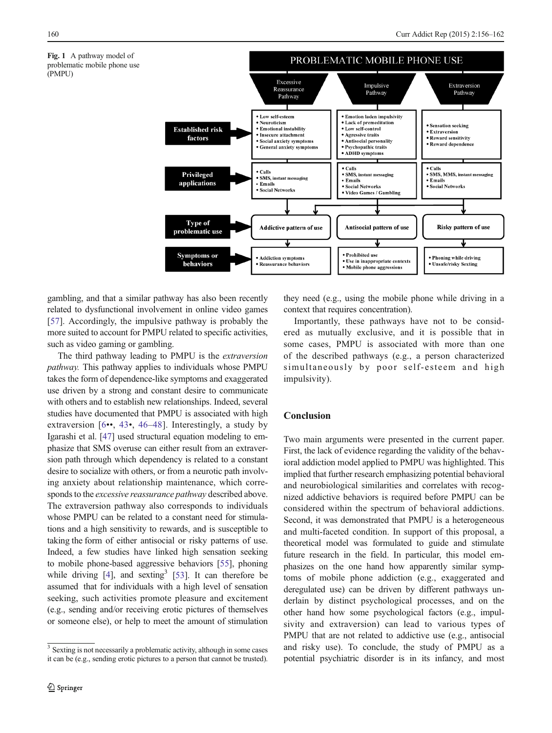<span id="page-4-0"></span>Fig. 1 A pathway model of problematic mobile phone use (PMPU)



gambling, and that a similar pathway has also been recently related to dysfunctional involvement in online video games [\[57](#page-6-0)]. Accordingly, the impulsive pathway is probably the more suited to account for PMPU related to specific activities, such as video gaming or gambling.

The third pathway leading to PMPU is the extraversion pathway. This pathway applies to individuals whose PMPU takes the form of dependence-like symptoms and exaggerated use driven by a strong and constant desire to communicate with others and to establish new relationships. Indeed, several studies have documented that PMPU is associated with high extraversion [[6](#page-5-0)••, [43](#page-6-0)•, [46](#page-6-0)–[48](#page-6-0)]. Interestingly, a study by Igarashi et al. [[47\]](#page-6-0) used structural equation modeling to emphasize that SMS overuse can either result from an extraversion path through which dependency is related to a constant desire to socialize with others, or from a neurotic path involving anxiety about relationship maintenance, which corresponds to the excessive reassurance pathway described above. The extraversion pathway also corresponds to individuals whose PMPU can be related to a constant need for stimulations and a high sensitivity to rewards, and is susceptible to taking the form of either antisocial or risky patterns of use. Indeed, a few studies have linked high sensation seeking to mobile phone-based aggressive behaviors [\[55](#page-6-0)], phoning while driving  $[4]$  $[4]$ , and sexting<sup>3</sup>  $[53]$  $[53]$ . It can therefore be assumed that for individuals with a high level of sensation seeking, such activities promote pleasure and excitement (e.g., sending and/or receiving erotic pictures of themselves or someone else), or help to meet the amount of stimulation

they need (e.g., using the mobile phone while driving in a context that requires concentration).

Importantly, these pathways have not to be considered as mutually exclusive, and it is possible that in some cases, PMPU is associated with more than one of the described pathways (e.g., a person characterized simultaneously by poor self-esteem and high impulsivity).

## Conclusion

Two main arguments were presented in the current paper. First, the lack of evidence regarding the validity of the behavioral addiction model applied to PMPU was highlighted. This implied that further research emphasizing potential behavioral and neurobiological similarities and correlates with recognized addictive behaviors is required before PMPU can be considered within the spectrum of behavioral addictions. Second, it was demonstrated that PMPU is a heterogeneous and multi-faceted condition. In support of this proposal, a theoretical model was formulated to guide and stimulate future research in the field. In particular, this model emphasizes on the one hand how apparently similar symptoms of mobile phone addiction (e.g., exaggerated and deregulated use) can be driven by different pathways underlain by distinct psychological processes, and on the other hand how some psychological factors (e.g., impulsivity and extraversion) can lead to various types of PMPU that are not related to addictive use (e.g., antisocial and risky use). To conclude, the study of PMPU as a potential psychiatric disorder is in its infancy, and most

<sup>&</sup>lt;sup>3</sup> Sexting is not necessarily a problematic activity, although in some cases it can be (e.g., sending erotic pictures to a person that cannot be trusted).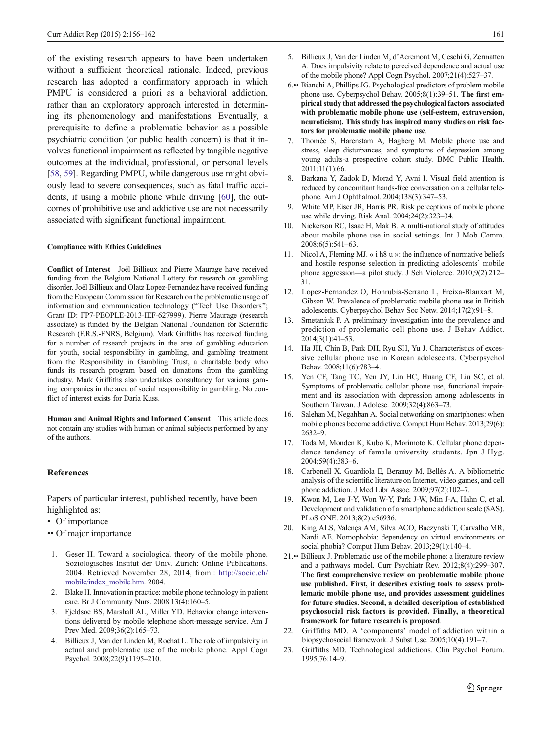<span id="page-5-0"></span>of the existing research appears to have been undertaken without a sufficient theoretical rationale. Indeed, previous research has adopted a confirmatory approach in which PMPU is considered a priori as a behavioral addiction, rather than an exploratory approach interested in determining its phenomenology and manifestations. Eventually, a prerequisite to define a problematic behavior as a possible psychiatric condition (or public health concern) is that it involves functional impairment as reflected by tangible negative outcomes at the individual, professional, or personal levels [\[58,](#page-6-0) [59\]](#page-6-0). Regarding PMPU, while dangerous use might obviously lead to severe consequences, such as fatal traffic accidents, if using a mobile phone while driving [[60\]](#page-6-0), the outcomes of prohibitive use and addictive use are not necessarily associated with significant functional impairment.

#### Compliance with Ethics Guidelines

Conflict of Interest Joël Billieux and Pierre Maurage have received funding from the Belgium National Lottery for research on gambling disorder. Joël Billieux and Olatz Lopez-Fernandez have received funding from the European Commission for Research on the problematic usage of information and communication technology ("Tech Use Disorders"; Grant ID: FP7-PEOPLE-2013-IEF-627999). Pierre Maurage (research associate) is funded by the Belgian National Foundation for Scientific Research (F.R.S.-FNRS, Belgium). Mark Griffiths has received funding for a number of research projects in the area of gambling education for youth, social responsibility in gambling, and gambling treatment from the Responsibility in Gambling Trust, a charitable body who funds its research program based on donations from the gambling industry. Mark Griffiths also undertakes consultancy for various gaming companies in the area of social responsibility in gambling. No conflict of interest exists for Daria Kuss.

Human and Animal Rights and Informed Consent This article does not contain any studies with human or animal subjects performed by any of the authors.

#### References

Papers of particular interest, published recently, have been highlighted as:

- Of importance
- •• Of major importance
- 1. Geser H. Toward a sociological theory of the mobile phone. Soziologisches Institut der Univ. Zürich: Online Publications. 2004. Retrieved November 28, 2014, from : [http://socio.ch/](http://socio.ch/mobile/index_mobile.htm) [mobile/index\\_mobile.htm](http://socio.ch/mobile/index_mobile.htm). 2004.
- 2. Blake H. Innovation in practice: mobile phone technology in patient care. Br J Community Nurs. 2008;13(4):160–5.
- 3. Fjeldsoe BS, Marshall AL, Miller YD. Behavior change interventions delivered by mobile telephone short-message service. Am J Prev Med. 2009;36(2):165–73.
- 4. Billieux J, Van der Linden M, Rochat L. The role of impulsivity in actual and problematic use of the mobile phone. Appl Cogn Psychol. 2008;22(9):1195–210.
- 5. Billieux J, Van der Linden M, d'Acremont M, Ceschi G, Zermatten A. Does impulsivity relate to perceived dependence and actual use of the mobile phone? Appl Cogn Psychol. 2007;21(4):527–37.
- 6.•• Bianchi A, Phillips JG. Psychological predictors of problem mobile phone use. Cyberpsychol Behav.  $2005;8(1):39-51$ . The first empirical study that addressed the psychological factors associated with problematic mobile phone use (self-esteem, extraversion, neuroticism]. This study has inspired many studies on risk factors for problematic mobile phone use.
- 7. Thomée S, Harenstam A, Hagberg M. Mobile phone use and stress, sleep disturbances, and symptoms of depression among young adults-a prospective cohort study. BMC Public Health. 2011;11(1):66.
- 8. Barkana Y, Zadok D, Morad Y, Avni I. Visual field attention is reduced by concomitant hands-free conversation on a cellular telephone. Am J Ophthalmol. 2004;138(3):347–53.
- 9. White MP, Eiser JR, Harris PR. Risk perceptions of mobile phone use while driving. Risk Anal. 2004;24(2):323–34.
- 10. Nickerson RC, Isaac H, Mak B. A multi-national study of attitudes about mobile phone use in social settings. Int J Mob Comm. 2008;6(5):541–63.
- 11. Nicol A, Fleming MJ. « i h8 u »: the influence of normative beliefs and hostile response selection in predicting adolescents' mobile phone aggression—a pilot study. J Sch Violence. 2010;9(2):212– 31.
- 12. Lopez-Fernandez O, Honrubia-Serrano L, Freixa-Blanxart M, Gibson W. Prevalence of problematic mobile phone use in British adolescents. Cyberpsychol Behav Soc Netw. 2014;17(2):91–8.
- 13. Smetaniuk P. A preliminary investigation into the prevalence and prediction of problematic cell phone use. J Behav Addict. 2014;3(1):41–53.
- 14. Ha JH, Chin B, Park DH, Ryu SH, Yu J. Characteristics of excessive cellular phone use in Korean adolescents. Cyberpsychol Behav. 2008;11(6):783–4.
- 15. Yen CF, Tang TC, Yen JY, Lin HC, Huang CF, Liu SC, et al. Symptoms of problematic cellular phone use, functional impairment and its association with depression among adolescents in Southern Taiwan. J Adolesc. 2009;32(4):863–73.
- 16. Salehan M, Negahban A. Social networking on smartphones: when mobile phones become addictive. Comput Hum Behav. 2013;29(6): 2632–9.
- 17. Toda M, Monden K, Kubo K, Morimoto K. Cellular phone dependence tendency of female university students. Jpn J Hyg. 2004;59(4):383–6.
- 18. Carbonell X, Guardiola E, Beranuy M, Bellés A. A bibliometric analysis of the scientific literature on Internet, video games, and cell phone addiction. J Med Libr Assoc. 2009;97(2):102–7.
- 19. Kwon M, Lee J-Y, Won W-Y, Park J-W, Min J-A, Hahn C, et al. Development and validation of a smartphone addiction scale (SAS). PLoS ONE. 2013;8(2):e56936.
- 20. King ALS, Valença AM, Silva ACO, Baczynski T, Carvalho MR, Nardi AE. Nomophobia: dependency on virtual environments or social phobia? Comput Hum Behav. 2013;29(1):140–4.
- 21.•• Billieux J. Problematic use of the mobile phone: a literature review and a pathways model. Curr Psychiatr Rev. 2012;8(4):299-307. The first comprehensive review on problematic mobile phone use published. First, it describes existing tools to assess problematic mobile phone use, and provides assessment guidelines for future studies. Second, a detailed description of established psychosocial risk factors is provided. Finally, a theoretical framework for future research is proposed.
- 22. Griffiths MD. A 'components' model of addiction within a biopsychosocial framework. J Subst Use. 2005;10(4):191–7.
- 23. Griffiths MD. Technological addictions. Clin Psychol Forum. 1995;76:14–9.